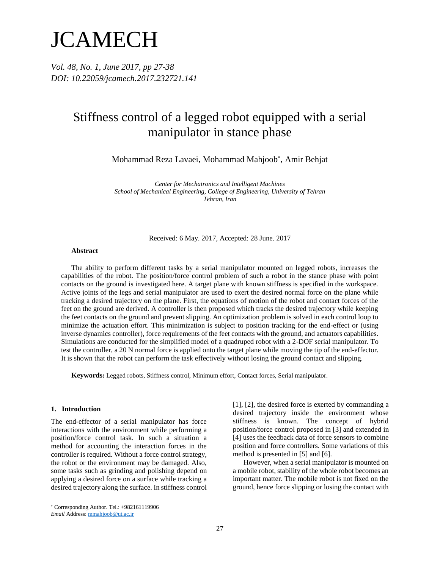# **JCAMECH**

*Vol. 48, No. 1, June 2017, pp 27-38 DOI: 10.22059/jcamech.2017.232721.141* 

# Stiffness control of a legged robot equipped with a serial manipulator in stance phase

Mohammad Reza Lavaei, Mohammad Mahjoob , Amir Behjat

*Center for Mechatronics and Intelligent Machines School of Mechanical Engineering, College of Engineering, University of Tehran Tehran, Iran*

Received: 6 May. 2017, Accepted: 28 June. 2017

## **Abstract**

The ability to perform different tasks by a serial manipulator mounted on legged robots, increases the capabilities of the robot. The position/force control problem of such a robot in the stance phase with point contacts on the ground is investigated here. A target plane with known stiffness is specified in the workspace. Active joints of the legs and serial manipulator are used to exert the desired normal force on the plane while tracking a desired trajectory on the plane. First, the equations of motion of the robot and contact forces of the feet on the ground are derived. A controller is then proposed which tracks the desired trajectory while keeping the feet contacts on the ground and prevent slipping. An optimization problem is solved in each control loop to minimize the actuation effort. This minimization is subject to position tracking for the end-effect or (using inverse dynamics controller), force requirements of the feet contacts with the ground, and actuators capabilities. Simulations are conducted for the simplified model of a quadruped robot with a 2-DOF serial manipulator. To test the controller, a 20 N normal force is applied onto the target plane while moving the tip of the end-effector. It is shown that the robot can perform the task effectively without losing the ground contact and slipping.

**Keywords:** Legged robots, Stiffness control, Minimum effort, Contact forces, Serial manipulator.

#### **1. Introduction**

 $\overline{a}$ 

The end-effector of a serial manipulator has force interactions with the environment while performing a position/force control task. In such a situation a method for accounting the interaction forces in the controller is required. Without a force control strategy, the robot or the environment may be damaged. Also, some tasks such as grinding and polishing depend on applying a desired force on a surface while tracking a desired trajectory along the surface. In stiffness control

[1], [2], the desired force is exerted by commanding a desired trajectory inside the environment whose stiffness is known. The concept of hybrid position/force control proposed in [3] and extended in [4] uses the feedback data of force sensors to combine position and force controllers. Some variations of this method is presented in [5] and [6].

However, when a serial manipulator is mounted on a mobile robot, stability of the whole robot becomes an important matter. The mobile robot is not fixed on the ground, hence force slipping or losing the contact with

Corresponding Author. Tel.: +982161119906

*Email* Address: mmahjoob@ut.ac.ir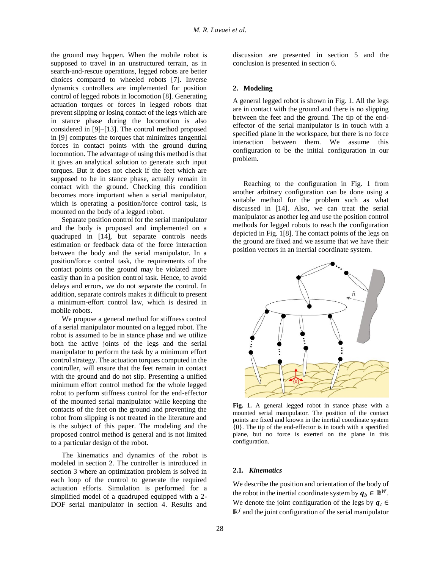the ground may happen. When the mobile robot is supposed to travel in an unstructured terrain, as in search-and-rescue operations, legged robots are better choices compared to wheeled robots [7]. Inverse dynamics controllers are implemented for position control of legged robots in locomotion [8]. Generating actuation torques or forces in legged robots that prevent slipping or losing contact of the legs which are in stance phase during the locomotion is also considered in [9]–[13]. The control method proposed in [9] computes the torques that minimizes tangential forces in contact points with the ground during locomotion. The advantage of using this method is that it gives an analytical solution to generate such input torques. But it does not check if the feet which are supposed to be in stance phase, actually remain in contact with the ground. Checking this condition becomes more important when a serial manipulator, which is operating a position/force control task, is mounted on the body of a legged robot.

Separate position control for the serial manipulator and the body is proposed and implemented on a quadruped in [14], but separate controls needs estimation or feedback data of the force interaction between the body and the serial manipulator. In a position/force control task, the requirements of the contact points on the ground may be violated more easily than in a position control task. Hence, to avoid delays and errors, we do not separate the control. In addition, separate controls makes it difficult to present a minimum-effort control law, which is desired in mobile robots.

We propose a general method for stiffness control of a serial manipulator mounted on a legged robot. The robot is assumed to be in stance phase and we utilize both the active joints of the legs and the serial manipulator to perform the task by a minimum effort control strategy. The actuation torques computed in the controller, will ensure that the feet remain in contact with the ground and do not slip. Presenting a unified minimum effort control method for the whole legged robot to perform stiffness control for the end-effector of the mounted serial manipulator while keeping the contacts of the feet on the ground and preventing the robot from slipping is not treated in the literature and is the subject of this paper. The modeling and the proposed control method is general and is not limited to a particular design of the robot.

The kinematics and dynamics of the robot is modeled in section 2. The controller is introduced in section 3 where an optimization problem is solved in each loop of the control to generate the required actuation efforts. Simulation is performed for a simplified model of a quadruped equipped with a 2- DOF serial manipulator in section 4. Results and

discussion are presented in section 5 and the conclusion is presented in section 6.

## **2. Modeling**

A general legged robot is shown i[n Fig. 1.](#page-1-0) All the legs are in contact with the ground and there is no slipping between the feet and the ground. The tip of the endeffector of the serial manipulator is in touch with a specified plane in the workspace, but there is no force interaction between them. We assume this configuration to be the initial configuration in our problem.

Reaching to the configuration in [Fig. 1](#page-1-0) from another arbitrary configuration can be done using a suitable method for the problem such as what discussed in [14]. Also, we can treat the serial manipulator as another leg and use the position control methods for legged robots to reach the configuration depicted i[n Fig. 1\[](#page-1-0)8]. The contact points of the legs on the ground are fixed and we assume that we have their position vectors in an inertial coordinate system.



<span id="page-1-0"></span>**Fig. 1.** A general legged robot in stance phase with a mounted serial manipulator. The position of the contact points are fixed and known in the inertial coordinate system {0}. The tip of the end-effector is in touch with a specified plane, but no force is exerted on the plane in this configuration.

# **2.1.** *Kinematics*

We describe the position and orientation of the body of the robot in the inertial coordinate system by  $q_b \in \mathbb{R}^W$ . We denote the joint configuration of the legs by  $q_l \in$  $\mathbb{R}^j$  and the joint configuration of the serial manipulator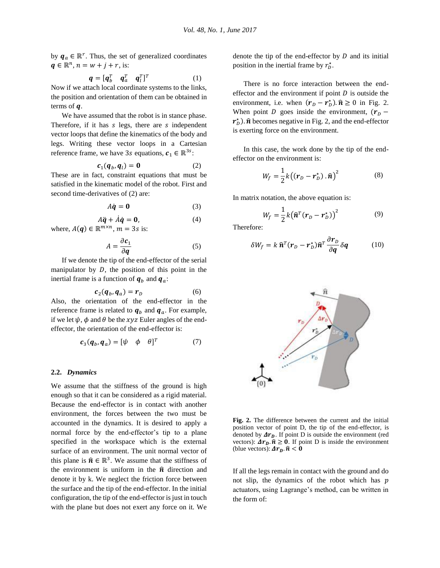by  $q_a \in \mathbb{R}^r$ . Thus, the set of generalized coordinates  $q \in \mathbb{R}^n$ ,  $n = w + j + r$ , is:

$$
\boldsymbol{q} = [\boldsymbol{q}_b^T \quad \boldsymbol{q}_a^T \quad \boldsymbol{q}_l^T]^T \tag{1}
$$

Now if we attach local coordinate systems to the links, the position and orientation of them can be obtained in terms of  $q$ .

We have assumed that the robot is in stance phase. Therefore, if it has  $s$  legs, there are  $s$  independent vector loops that define the kinematics of the body and legs. Writing these vector loops in a Cartesian reference frame, we have 3s equations,  $c_1 \in \mathbb{R}^{3s}$ :

$$
c_1(q_b, q_l) = \mathbf{0} \tag{2}
$$

These are in fact, constraint equations that must be satisfied in the kinematic model of the robot. First and second time-derivatives of [\(2\)](#page-2-0) are:

$$
A\dot{q} = 0 \tag{3}
$$

$$
A\ddot{\mathbf{q}} + \dot{A}\dot{\mathbf{q}} = \mathbf{0},\tag{4}
$$

where,  $A(q) \in \mathbb{R}^{m \times n}$ ,  $m = 3s$  is:

$$
A = \frac{\partial c_1}{\partial q} \tag{5}
$$

If we denote the tip of the end-effector of the serial manipulator by  $D$ , the position of this point in the inertial frame is a function of  $q_b$  and  $q_a$ :

$$
\boldsymbol{c}_2(\boldsymbol{q}_b, \boldsymbol{q}_a) = \boldsymbol{r}_D \tag{6}
$$

Also, the orientation of the end-effector in the reference frame is related to  $q_h$  and  $q_a$ . For example, if we let  $\psi$ ,  $\phi$  and  $\theta$  be the *xyz* Euler angles of the endeffector, the orientation of the end-effector is:

$$
\boldsymbol{c}_3(\boldsymbol{q}_b, \boldsymbol{q}_a) = [\psi \quad \phi \quad \theta]^T \tag{7}
$$

#### **2.2.** *Dynamics*

We assume that the stiffness of the ground is high enough so that it can be considered as a rigid material. Because the end-effector is in contact with another environment, the forces between the two must be accounted in the dynamics. It is desired to apply a normal force by the end-effector's tip to a plane specified in the workspace which is the external surface of an environment. The unit normal vector of this plane is  $\hat{\mathbf{n}} \in \mathbb{R}^3$ . We assume that the stiffness of the environment is uniform in the  $\hat{\mathbf{n}}$  direction and denote it by k. We neglect the friction force between the surface and the tip of the end-effector. In the initial configuration, the tip of the end-effector is just in touch with the plane but does not exert any force on it. We

denote the tip of the end-effector by  $D$  and its initial position in the inertial frame by  $r_D^*$ .

There is no force interaction between the endeffector and the environment if point  $D$  is outside the environment, i.e. when  $(r_D - r_D^*) \cdot \hat{n} \ge 0$  in [Fig. 2.](#page-2-1) When point *D* goes inside the environment,  $(r_D$  $r_D^*$ ).  $\hat{n}$  becomes negative in [Fig. 2,](#page-2-1) and the end-effector is exerting force on the environment.

<span id="page-2-0"></span>In this case, the work done by the tip of the endeffector on the environment is:

$$
W_f = \frac{1}{2}k((\mathbf{r}_D - \mathbf{r}_D^*) \cdot \hat{\mathbf{n}})^2
$$
 (8)

In matrix notation, the above equation is:

<span id="page-2-2"></span>
$$
W_f = \frac{1}{2}k(\hat{\boldsymbol{n}}^T(\boldsymbol{r}_D - \boldsymbol{r}_D^{\star}))^2
$$
 (9)

<span id="page-2-3"></span>Therefore:

$$
\delta W_f = k \,\hat{\mathbf{n}}^T (\mathbf{r}_D - \mathbf{r}_D^*) \hat{\mathbf{n}}^T \frac{\partial \mathbf{r}_D}{\partial \mathbf{q}} \delta \mathbf{q} \tag{10}
$$

<span id="page-2-5"></span><span id="page-2-4"></span>

<span id="page-2-1"></span>**Fig. 2.** The difference between the current and the initial position vector of point D, the tip of the end-effector, is denoted by  $\Delta r_p$ . If point D is outside the environment (red vectors):  $\Delta r_p \cdot \hat{n} \ge 0$ . If point D is inside the environment (blue vectors):  $\Delta r_p \cdot \hat{n} < 0$ 

If all the legs remain in contact with the ground and do not slip, the dynamics of the robot which has  $p$ actuators, using Lagrange's method, can be written in the form of: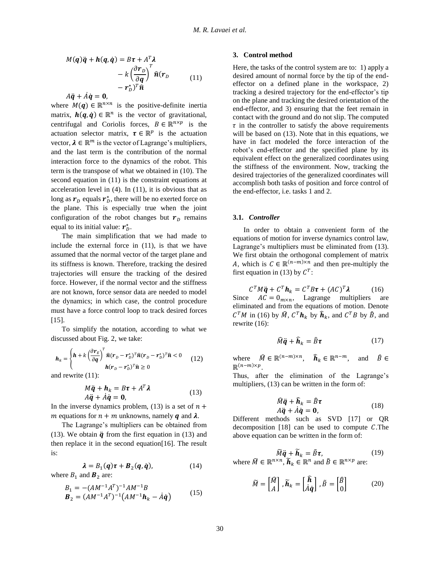$$
M(q)\ddot{q} + h(q, \dot{q}) = B\tau + A^T \lambda
$$
  
-  $k \left(\frac{\partial r_D}{\partial q}\right)^T \hat{n}(r_D$   
-  $r_D^* )^T \hat{n}$  (11)

 $A\ddot{q} + \dot{A}\dot{q} = 0$ .

where  $M(q) \in \mathbb{R}^{n \times n}$  is the positive-definite inertia matrix,  $h(q, \dot{q}) \in \mathbb{R}^n$  is the vector of gravitational, centrifugal and Coriolis forces,  $B \in \mathbb{R}^{n \times p}$  is the actuation selector matrix,  $\tau \in \mathbb{R}^p$  is the actuation vector,  $\lambda \in \mathbb{R}^m$  is the vector of Lagrange's multipliers, and the last term is the contribution of the normal interaction force to the dynamics of the robot. This term is the transpose of what we obtained in [\(10\).](#page-2-2) The second equation in [\(11\)](#page-3-0) is the constraint equations at acceleration level in  $(4)$ . In  $(11)$ , it is obvious that as long as  $r_b$  equals  $r_b^*$ , there will be no exerted force on the plane. This is especially true when the joint configuration of the robot changes but  $r<sub>p</sub>$  remains equal to its initial value:  $r_b^*$ .

The main simplification that we had made to include the external force in [\(11\),](#page-3-0) is that we have assumed that the normal vector of the target plane and its stiffness is known. Therefore, tracking the desired trajectories will ensure the tracking of the desired force. However, if the normal vector and the stiffness are not known, force sensor data are needed to model the dynamics; in which case, the control procedure must have a force control loop to track desired forces [15].

To simplify the notation, according to what we discussed about [Fig. 2,](#page-2-1) we take:

$$
\boldsymbol{h}_{k} = \begin{cases} \boldsymbol{h} + k \left( \frac{\partial \boldsymbol{r}_{E}}{\partial \boldsymbol{q}} \right)^{T} \boldsymbol{\hat{n}} (\boldsymbol{r}_{D} - \boldsymbol{r}_{D}^{*})^{T} \boldsymbol{\hat{n}} (\boldsymbol{r}_{D} - \boldsymbol{r}_{D}^{*})^{T} \boldsymbol{\hat{n}} < 0 \\ \boldsymbol{h} (\boldsymbol{r}_{D} - \boldsymbol{r}_{D}^{*})^{T} \boldsymbol{\hat{n}} \geq 0 \end{cases}
$$
(12)

and rewrite [\(11\):](#page-3-0)

$$
M\ddot{\mathbf{q}} + \mathbf{h}_k = B\mathbf{\tau} + A^T \boldsymbol{\lambda}
$$
  
\n
$$
A\ddot{\mathbf{q}} + \dot{A}\dot{\mathbf{q}} = \mathbf{0},
$$
\n(13)

In the inverse dynamics problem, [\(13\)](#page-3-1) is a set of  $n +$ m equations for  $n + m$  unknowns, namely q and  $\lambda$ .

The Lagrange's multipliers can be obtained from [\(13\).](#page-3-1) We obtain  $\ddot{q}$  from the first equation in [\(13\)](#page-3-1) and then replace it in the second equation[16]. The result is:

$$
\lambda = B_1(q)\tau + B_2(q, \dot{q}), \qquad (14)
$$

where  $B_1$  and  $\mathbf{B}_2$  are:

$$
B_1 = -(AM^{-1}A^T)^{-1}AM^{-1}B
$$
  
\n
$$
B_2 = (AM^{-1}A^T)^{-1}(AM^{-1}\mathbf{h}_k - \dot{A}\dot{q})
$$
\n(15)

# **3. Control method**

<span id="page-3-0"></span>Here, the tasks of the control system are to: 1) apply a desired amount of normal force by the tip of the endeffector on a defined plane in the workspace, 2) tracking a desired trajectory for the end-effector's tip on the plane and tracking the desired orientation of the end-effector, and 3) ensuring that the feet remain in contact with the ground and do not slip. The computed  $\tau$  in the controller to satisfy the above requirements will be based on  $(13)$ . Note that in this equations, we have in fact modeled the force interaction of the robot's end-effector and the specified plane by its equivalent effect on the generalized coordinates using the stiffness of the environment. Now, tracking the desired trajectories of the generalized coordinates will accomplish both tasks of position and force control of the end-effector, i.e. tasks 1 and 2.

## **3.1.** *Controller*

In order to obtain a convenient form of the equations of motion for inverse dynamics control law, Lagrange's multipliers must be eliminated from [\(13\).](#page-3-1) We first obtain the orthogonal complement of matrix A, which is  $C \in \mathbb{R}^{(n-m)\times n}$  and then pre-multiply the first equation in [\(13\)](#page-3-1) by  $C^T$ :

 $C^T M \ddot{\mathbf{q}} + C^T \mathbf{h}_k = C^T B \mathbf{\tau} + (AC)$  (16) Since  $AC = 0_{m \times n}$ , Lagrange multipliers are eliminated and from the equations of motion. Denote  $C^T M$  in [\(16\)](#page-3-2) by  $\widehat{M}$ ,  $C^T h_k$  by  $\widehat{h}_k$ , and  $C^T B$  by  $\widehat{B}$ , and rewrite [\(16\):](#page-3-2)

<span id="page-3-2"></span>
$$
\hat{M}\ddot{\mathbf{q}} + \hat{\mathbf{h}}_k = \hat{B}\boldsymbol{\tau}
$$
 (17)

where  $\widehat{M} \in \mathbb{R}^{(n-m)\times n}$ ,  $\widehat{h}_k \in \mathbb{R}^{n-m}$ , and  $\widehat{B} \in$  $\mathbb{R}^{(n-m)\times p}$ .

<span id="page-3-1"></span>Thus, after the elimination of the Lagrange's multipliers,  $(13)$  can be written in the form of:

<span id="page-3-5"></span><span id="page-3-3"></span>
$$
\widehat{M}\ddot{\mathbf{q}} + \widehat{\mathbf{h}}_k = \widehat{B}\boldsymbol{\tau} \nA\ddot{\mathbf{q}} + \dot{A}\dot{\mathbf{q}} = \mathbf{0},
$$
\n(18)

Different methods such as SVD [17] or QR decomposition  $[18]$  can be used to compute C. The above equation can be written in the form of:

<span id="page-3-4"></span>
$$
\widetilde{M}\ddot{\mathbf{q}} + \widetilde{\mathbf{h}}_k = \widetilde{B}\boldsymbol{\tau}, \qquad (19)
$$
\nwhere  $\widetilde{M} \in \mathbb{R}^{n \times n}$ ,  $\widetilde{\mathbf{h}}_k \in \mathbb{R}^n$  and  $\widetilde{B} \in \mathbb{R}^{n \times p}$  are:

$$
\widetilde{M} = \begin{bmatrix} \widehat{M} \\ A \end{bmatrix}, \widetilde{h}_k = \begin{bmatrix} \widehat{h} \\ \dot{A}\dot{q} \end{bmatrix}, \widetilde{B} = \begin{bmatrix} \widehat{B} \\ 0 \end{bmatrix} \tag{20}
$$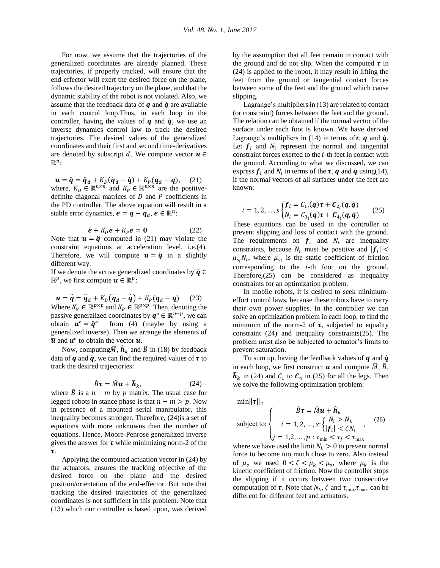For now, we assume that the trajectories of the generalized coordinates are already planned. These trajectories, if properly tracked, will ensure that the end-effector will exert the desired force on the plane, follows the desired trajectory on the plane, and that the dynamic stability of the robot is not violated. Also, we assume that the feedback data of  $q$  and  $\dot{q}$  are available in each control loop.Thus, in each loop in the controller, having the values of  $q$  and  $\dot{q}$ , we use an inverse dynamics control law to track the desired trajectories. The desired values of the generalized coordinates and their first and second time-derivatives are denoted by subscript d. We compute vector  $u \in$  $\mathbb{R}^n$ :

 $u = \ddot{q} = \ddot{q}_d + K_D(\dot{q}_d - \dot{q}) + K_P(q_d - q),$  (21) where,  $K_D \in \mathbb{R}^{n \times n}$  and  $K_P \in \mathbb{R}^{n \times n}$  are the positivedefinite diagonal matrices of  $D$  and  $P$  coefficients in the PD controller. The above equation will result in a stable error dynamics,  $e = q - q_d, e \in \mathbb{R}^n$ :

$$
\ddot{\mathbf{e}} + K_D \dot{\mathbf{e}} + K_P \mathbf{e} = \mathbf{0} \tag{22}
$$

Note that  $\mathbf{u} = \ddot{\mathbf{q}}$  computed in [\(21\)](#page-4-0) may violate the constraint equations at acceleration level, i.e[.\(4\).](#page-2-3) Therefore, we will compute  $\mathbf{u} = \ddot{\mathbf{q}}$  in a slightly different way.

If we denote the active generalized coordinates by  $\bar{q} \in$  $\mathbb{R}^p$ , we first compute  $\overline{\mathbf{u}} \in \mathbb{R}^p$ :

$$
\overline{\mathbf{u}} = \overline{\overline{\mathbf{q}}} = \overline{\overline{\mathbf{q}}}_d + K_D(\overline{\mathbf{q}}_d - \overline{\mathbf{q}}) + K_P(\mathbf{q}_d - \mathbf{q}) \quad (23)
$$
  
Where  $K_V \in \mathbb{R}^{p \times p}$  and  $K_P \in \mathbb{R}^{p \times p}$ . Then, denoting the  
passive generalized coordinates by  $\mathbf{q}^\circ \in \mathbb{R}^{n-p}$ , we can  
obtain  $\mathbf{u}^\circ = \overline{\mathbf{q}}^\circ$  from (4) (maybe by using a  
generalized inverse). Then we arrange the elements of  
 $\overline{\mathbf{u}}$  and  $\mathbf{u}^\circ$  to obtain the vector  $\mathbf{u}$ .

Now, computing $\hat{M}$ ,  $\hat{h}_k$  and  $\hat{B}$  in [\(18\)](#page-3-3) by feedback data of  $q$  and  $\dot{q}$ , we can find the required values of  $\tau$  to track the desired trajectories:

$$
\hat{B}\tau = \hat{M}\mathbf{u} + \hat{\mathbf{h}}_k, \tag{24}
$$

where  $\hat{B}$  is a  $n - m$  by p matrix. The usual case for legged robots in stance phase is that  $n - m > p$ . Now in presence of a mounted serial manipulator, this inequality becomes stronger. Therefore, [\(24\)i](#page-4-1)s a set of equations with more unknowns than the number of equations. Hence, Moore-Penrose generalized inverse gives the answer for  $\tau$  while minimizing norm-2 of the  $\tau$ .

Applying the computed actuation vector in [\(24\)](#page-4-1) by the actuators, ensures the tracking objective of the desired force on the plane and the desired position/orientation of the end-effector. But note that tracking the desired trajectories of the generalized coordinates is not sufficient in this problem. Note that [\(13\)](#page-3-1) which our controller is based upon, was derived

by the assumption that all feet remain in contact with the ground and do not slip. When the computed  $\tau$  in [\(24\)](#page-4-1) is applied to the robot, it may result in lifting the feet from the ground or tangential contact forces between some of the feet and the ground which cause slipping.

Lagrange's multipliers in [\(13\)](#page-3-1) are related to contact (or constraint) forces between the feet and the ground. The relation can be obtained if the normal vector of the surface under each foot is known. We have derived Lagrange's multipliers in [\(14\)](#page-3-4) in terms of  $\tau$ ,  $q$  and  $\dot{q}$ . Let  $f_i$  and  $N_i$  represent the normal and tangential constraint forces exerted to the  $i$ -th feet in contact with the ground. According to what we discussed, we can express  $f_i$  and  $N_i$  in terms of the  $\tau$ ,  $q$  and  $\dot{q}$  usin[g\(14\),](#page-3-4) if the normal vectors of all surfaces under the feet are known:

<span id="page-4-2"></span><span id="page-4-0"></span>
$$
i = 1, 2, ..., s \begin{cases} f_i = C_{1_i}(q)\tau + C_{2_i}(q, \dot{q}) \\ N_i = C_{3_i}(q)\tau + C_{4_i}(q, \dot{q}) \end{cases} (25)
$$

These equations can be used in the controller to prevent slipping and loss of contact with the ground. The requirements on  $f_i$  and  $N_i$  are inequality constraints, because  $N_i$  must be positive and  $|f_i|$  <  $\mu_{s_i} N_i$ , where  $\mu_{s_i}$  is the static coefficient of friction corresponding to the  $i$ -th foot on the ground. Therefore[,\(25\)](#page-4-2) can be considered as inequality constraints for an optimization problem.

In mobile robots, it is desired to seek minimumeffort control laws, because these robots have to carry their own power supplies. In the controller we can solve an optimization problem in each loop, to find the minimum of the norm-2 of  $\tau$ , subjected to equality constraint [\(24\)](#page-4-1) and inequality constraint[s\(25\).](#page-4-2) The problem must also be subjected to actuator's limits to prevent saturation.

<span id="page-4-1"></span>To sum up, having the feedback values of  $q$  and  $\dot{q}$ in each loop, we first construct  $\boldsymbol{u}$  and compute  $\hat{M}$ ,  $\hat{B}$ ,  $\hat{\mathbf{h}}_k$  in [\(24\)](#page-4-1) and  $\mathcal{C}_1$  to  $\mathcal{C}_4$  in [\(25\)](#page-4-2) for all the legs. Then we solve the following optimization problem:

min $\|\tau\|_{2}$ 

<span id="page-4-3"></span>subject to: 
$$
\begin{cases}\n\hat{B}\tau = \hat{M}\mathbf{u} + \hat{\mathbf{h}}_k \\
i = 1, 2, ..., s: \begin{cases}\nN_i > N_L \\
|f_i| < \zeta N_i\n\end{cases}\n\end{cases} \tag{26}
$$
\n
$$
j = 1, 2, ..., p: \tau_{\text{min}} < \tau_j < \tau_{\text{max}}
$$

where we have used the limit  $N_L > 0$  to prevent normal force to become too much close to zero. Also instead of  $\mu_s$  we used  $0 < \zeta < \mu_k < \mu_s$ , where  $\mu_k$  is the kinetic coefficient of friction. Now the controller stops the slipping if it occurs between two consecutive computation of  $\tau$ . Note that  $N_L$ ,  $\zeta$  and  $\tau_{min}, \tau_{max}$  can be different for different feet and actuators.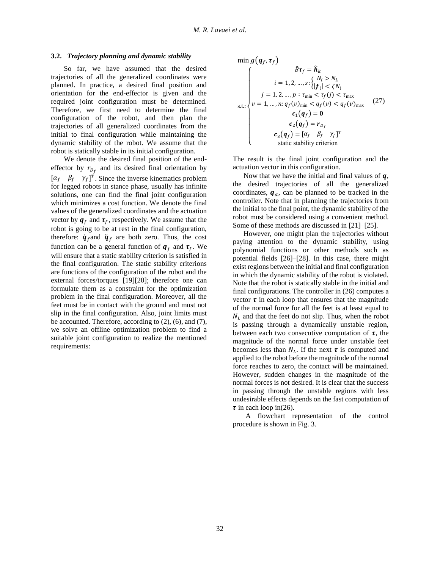## **3.2.** *Trajectory planning and dynamic stability*

So far, we have assumed that the desired trajectories of all the generalized coordinates were planned. In practice, a desired final position and orientation for the end-effector is given and the required joint configuration must be determined. Therefore, we first need to determine the final configuration of the robot, and then plan the trajectories of all generalized coordinates from the initial to final configuration while maintaining the dynamic stability of the robot. We assume that the robot is statically stable in its initial configuration.

We denote the desired final position of the endeffector by  $r_{D_f}$  and its desired final orientation by  $[\alpha_f \quad \beta_f \quad \gamma_f]^T$ . Since the inverse kinematics problem for legged robots in stance phase, usually has infinite solutions, one can find the final joint configuration which minimizes a cost function. We denote the final values of the generalized coordinates and the actuation vector by  $q_f$  and  $\tau_f$ , respectively. We assume that the robot is going to be at rest in the final configuration, therefore:  $\dot{q}_f$  and  $\ddot{q}_f$  are both zero. Thus, the cost function can be a general function of  $q_f$  and  $\tau_f$ . We will ensure that a static stability criterion is satisfied in the final configuration. The static stability criterions are functions of the configuration of the robot and the external forces/torques [19][20]; therefore one can formulate them as a constraint for the optimization problem in the final configuration. Moreover, all the feet must be in contact with the ground and must not slip in the final configuration. Also, joint limits must be accounted. Therefore, according to [\(2\),](#page-2-0) [\(6\),](#page-2-4) and [\(7\),](#page-2-5) we solve an offline optimization problem to find a suitable joint configuration to realize the mentioned requirements:

<span id="page-5-0"></span>
$$
\min g(\boldsymbol{q}_f, \boldsymbol{\tau}_f)
$$
\n
$$
\hat{B}\boldsymbol{\tau}_f = \hat{\boldsymbol{h}}_k
$$
\n
$$
i = 1, 2, ..., s: \begin{cases} N_i > N_L \\ |f_i| < \zeta N_l \end{cases}
$$
\n
$$
s.t.: \begin{cases} \dot{v} = 1, 2, ..., p: \tau_{\min} < \tau_f(j) < \tau_{\max} \\ v = 1, ..., n: q_f(v)_{\min} < q_f(v) < q_f(v)_{\max} \\ c_1(\boldsymbol{q}_f) = \mathbf{0} \\ c_2(\boldsymbol{q}_f) = \boldsymbol{r}_{D_f} \\ c_3(\boldsymbol{q}_f) = [\alpha_f \quad \beta_f \quad \gamma_f]^T \\ \text{static stability criterion} \end{cases} \tag{27}
$$

The result is the final joint configuration and the actuation vector in this configuration.

Now that we have the initial and final values of  $q$ , the desired trajectories of all the generalized coordinates,  $q_d$ , can be planned to be tracked in the controller. Note that in planning the trajectories from the initial to the final point, the dynamic stability of the robot must be considered using a convenient method. Some of these methods are discussed in [21]–[25].

However, one might plan the trajectories without paying attention to the dynamic stability, using polynomial functions or other methods such as potential fields [26]–[28]. In this case, there might exist regions between the initial and final configuration in which the dynamic stability of the robot is violated. Note that the robot is statically stable in the initial and final configurations. The controller in [\(26\)](#page-4-3) computes a vector  $\tau$  in each loop that ensures that the magnitude of the normal force for all the feet is at least equal to  $N<sub>L</sub>$  and that the feet do not slip. Thus, when the robot is passing through a dynamically unstable region, between each two consecutive computation of  $\tau$ , the magnitude of the normal force under unstable feet becomes less than  $N_L$ . If the next  $\tau$  is computed and applied to the robot before the magnitude of the normal force reaches to zero, the contact will be maintained. However, sudden changes in the magnitude of the normal forces is not desired. It is clear that the success in passing through the unstable regions with less undesirable effects depends on the fast computation of  $\tau$  in each loop i[n\(26\).](#page-4-3)

A flowchart representation of the control procedure is shown in [Fig. 3.](#page-6-0)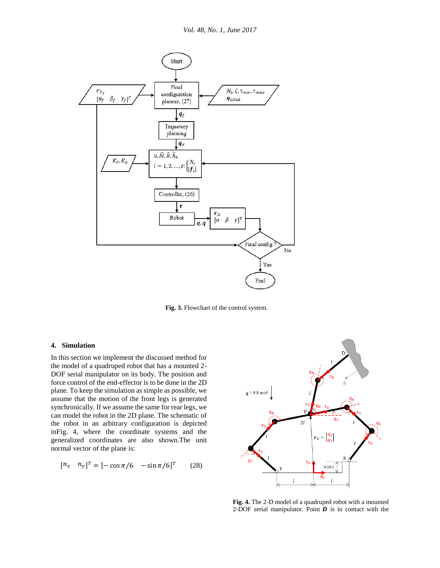

<span id="page-6-0"></span>**Fig. 3.** Flowchart of the control system.

# **4. Simulation**

In this section we implement the discussed method for the model of a quadruped robot that has a mounted 2- DOF serial manipulator on its body. The position and force control of the end-effector is to be done in the 2D plane. To keep the simulation as simple as possible, we assume that the motion of the front legs is generated synchronically. If we assume the same for rear legs, we can model the robot in the 2D plane. The schematic of the robot in an arbitrary configuration is depicted i[nFig. 4,](#page-6-1) where the coordinate systems and the generalized coordinates are also shown.The unit normal vector of the plane is:

$$
[n_x \quad n_y]^T = [-\cos(\pi/6) - \sin(\pi/6)]^T \quad (28)
$$



<span id="page-6-1"></span>**Fig. 4.** The 2-D model of a quadruped robot with a mounted 2-DOF serial manipulator. Point  $\boldsymbol{D}$  is in contact with the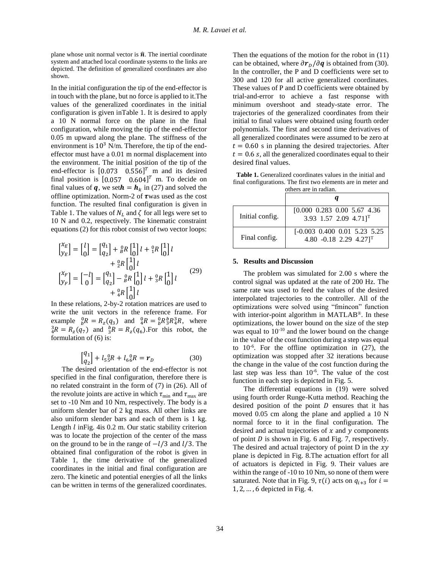plane whose unit normal vector is  $\hat{\boldsymbol{n}}$ . The inertial coordinate system and attached local coordinate systems to the links are depicted. The definition of generalized coordinates are also shown.

In the initial configuration the tip of the end-effector is in touch with the plane, but no force is applied to it.The values of the generalized coordinates in the initial configuration is given i[nTable 1.](#page-7-0) It is desired to apply a 10 N normal force on the plane in the final configuration, while moving the tip of the end-effector 0.05 m upward along the plane. The stiffness of the environment is  $10^3$  N/m. Therefore, the tip of the endeffector must have a 0.01 m normal displacement into the environment. The initial position of the tip of the end-effector is  $[0.073 \quad 0.556]^T$  m and its desired final position is  $[0.057 \ 0.604]^T$  m. To decide on final values of **q**, we set  $h = h_k$  in [\(27\)](#page-5-0) and solved the offline optimization. Norm-2 of  $\tau$  was used as the cost function. The resulted final configuration is given in [Table 1.](#page-7-0) The values of  $N_L$  and  $\zeta$  for all legs were set to 10 N and 0.2, respectively. The kinematic constraint equation[s \(2\)](#page-2-0) for this robot consist of two vector loops:

$$
\begin{aligned}\n\begin{bmatrix}\nX_E \\
Y_E\n\end{bmatrix} &= \begin{bmatrix} l \\ 0 \end{bmatrix} = \begin{bmatrix} q_1 \\ q_2 \end{bmatrix} + \begin{bmatrix} 0 \\ \beta R \end{bmatrix} \begin{bmatrix} l \\ 0 \end{bmatrix} l + \begin{bmatrix} 0 \\ 1R \end{bmatrix} l \\
&+ \begin{bmatrix} 0 \\ 2R \end{bmatrix} \begin{bmatrix} l \\ 0 \end{bmatrix} l \\
&+ \begin{bmatrix} 0 \\ 0 \end{bmatrix} l + \begin{bmatrix} 0 \\ 0 \end{bmatrix} l + \begin{bmatrix} 0 \\ 0 \end{bmatrix} l + \begin{bmatrix} 0 \\ 0 \end{bmatrix} l + \begin{bmatrix} 0 \\ 0 \end{bmatrix} l\n\end{aligned}
$$
\n(29)

In these relations, 2-by-2 rotation matrices are used to write the unit vectors in the reference frame. For example  ${}_{b}^{0}R = R_{z}(q_{3})$  and  ${}_{4}^{0}R = {}_{b}^{0}R_{3}^{b}R_{4}^{3}R$ , where  ${}_{4}^{3}R = R_{z}(q_{7})$  and  ${}_{3}^{b}R = R_{z}(q_{6})$ . For this robot, the formulation of [\(6\)](#page-2-4) is:

$$
\begin{bmatrix} q_1 \\ q_2 \end{bmatrix} + l_5^{\ 0}_{5}R + l_6^{\ 0}_{6}R = \boldsymbol{r}_D \tag{30}
$$

The desired orientation of the end-effector is not specified in the final configuration, therefore there is no related constraint in the form of [\(7\)](#page-2-5) in [\(26\).](#page-4-3) All of the revolute joints are active in which  $\tau_{\min}$  and  $\tau_{\max}$  are set to -10 Nm and 10 Nm, respectively. The body is a uniform slender bar of 2 kg mass. All other links are also uniform slender bars and each of them is 1 kg. Length  $l$  in Fig. 4 is 0.2 m. Our static stability criterion was to locate the projection of the center of the mass on the ground to be in the range of  $-l/3$  and  $l/3$ . The obtained final configuration of the robot is given in [Table 1,](#page-7-0) the time derivative of the generalized coordinates in the initial and final configuration are zero. The kinetic and potential energies of all the links can be written in terms of the generalized coordinates.

Then the equations of the motion for the robot in [\(11\)](#page-3-0) can be obtained, where  $\partial r_{D}/\partial q$  is obtained from [\(30\).](#page-7-1) In the controller, the P and D coefficients were set to 300 and 120 for all active generalized coordinates. These values of P and D coefficients were obtained by trial-and-error to achieve a fast response with minimum overshoot and steady-state error. The trajectories of the generalized coordinates from their initial to final values were obtained using fourth order polynomials. The first and second time derivatives of all generalized coordinates were assumed to be zero at  $t = 0.60$  s in planning the desired trajectories. After  $t = 0.6$  s, all the generalized coordinates equal to their desired final values.

<span id="page-7-0"></span>**Table 1.** Generalized coordinates values in the initial and final configurations. The first two elements are in meter and others are in radian.

| Initial config. | $[0.000 \t0.283 \t0.00 \t5.67 \t4.36]$<br>3.93 1.57 2.09 4.71] <sup>T</sup>   |
|-----------------|-------------------------------------------------------------------------------|
| Final config.   | $[-0.003 \ 0.400 \ 0.01 \ 5.23 \ 5.25]$<br>4.80 -0.18 2.29 4.27] <sup>T</sup> |

#### **5. Results and Discussion**

The problem was simulated for 2.00 s where the control signal was updated at the rate of 200 Hz. The same rate was used to feed the values of the desired interpolated trajectories to the controller. All of the optimizations were solved using "fmincon" function with interior-point algorithm in MATLAB<sup>®</sup>. In these optimizations, the lower bound on the size of the step was equal to  $10^{-10}$  and the lower bound on the change in the value of the cost function during a step was equal to  $10^{-6}$ . For the offline optimization in  $(27)$ , the optimization was stopped after 32 iterations because the change in the value of the cost function during the last step was less than 10<sup>-6</sup>. The value of the cost function in each step is depicted in [Fig. 5.](#page-8-0)

<span id="page-7-1"></span>The differential equations in [\(19\)](#page-3-5) were solved using fourth order Runge-Kutta method. Reaching the desired position of the point  $D$  ensures that it has moved 0.05 cm along the plane and applied a 10 N normal force to it in the final configuration. The desired and actual trajectories of  $x$  and  $y$  components of point  $D$  is shown in [Fig. 6](#page-8-1) and [Fig. 7,](#page-8-2) respectively. The desired and actual trajectory of point D in the  $xy$ plane is depicted in [Fig. 8.](#page-8-3)The actuation effort for all of actuators is depicted in [Fig. 9.](#page-9-0) Their values are within the range of -10 to 10 Nm, so none of them were saturated. Note that in [Fig. 9,](#page-9-0)  $\tau(i)$  acts on  $q_{i+3}$  for  $i =$ 1, 2, … , 6 depicted in [Fig. 4.](#page-6-1)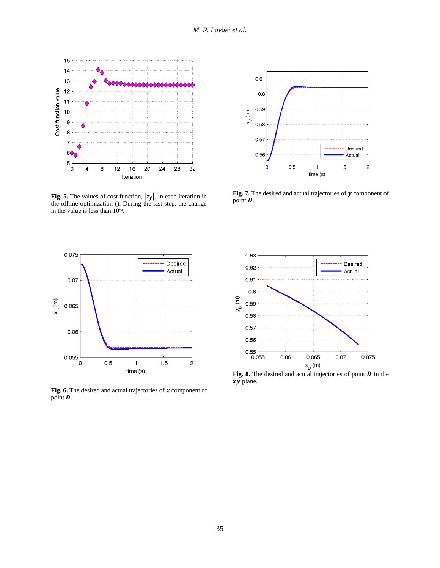

<span id="page-8-0"></span>**Fig. 5.** The values of cost function,  $|\tau_f|$ , in each iteration in the offline optimization (). During the last step, the change in the value is less than 10-6 .



<span id="page-8-2"></span>Fig. 7. The desired and actual trajectories of  $y$  component of point **D**.



<span id="page-8-1"></span>Fig. 6. The desired and actual trajectories of  $x$  component of point  $\overline{\mathbf{D}}$ .



<span id="page-8-3"></span>Fig. 8. The desired and actual trajectories of point **D** in the  $xy$  plane.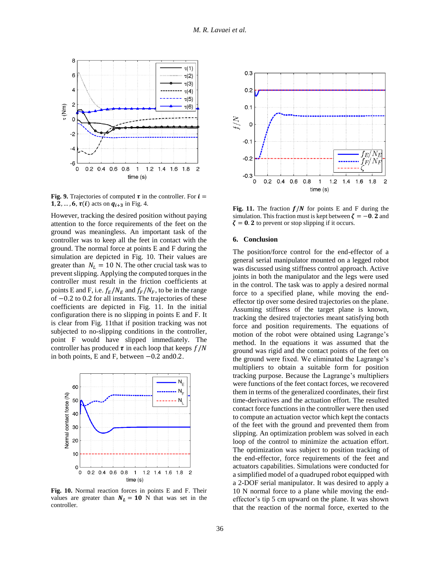

<span id="page-9-0"></span>**Fig. 9.** Trajectories of computed  $\tau$  in the controller. For  $i =$ **1, 2, ..., 6,**  $\tau(i)$  **acts on**  $q_{i+3}$  **in [Fig. 4.](#page-6-1)** 

However, tracking the desired position without paying attention to the force requirements of the feet on the ground was meaningless. An important task of the controller was to keep all the feet in contact with the ground. The normal force at points E and F during the simulation are depicted in [Fig. 10.](#page-9-1) Their values are greater than  $N_L = 10$  N. The other crucial task was to prevent slipping. Applying the computed torques in the controller must result in the friction coefficients at points E and F, i.e.  $f_E/N_E$  and  $f_F/N_F$ , to be in the range of −0.2 to 0.2 for all instants. The trajectories of these coefficients are depicted in [Fig. 11.](#page-9-2) In the initial configuration there is no slipping in points E and F. It is clear from [Fig. 11t](#page-9-2)hat if position tracking was not subjected to no-slipping conditions in the controller, point F would have slipped immediately. The controller has produced  $\tau$  in each loop that keeps  $f/N$ in both points, E and F, between −0.2 and0.2.



<span id="page-9-1"></span>**Fig. 10.** Normal reaction forces in points E and F. Their values are greater than  $N_L = 10$  N that was set in the controller.



<span id="page-9-2"></span>Fig. 11. The fraction  $f/N$  for points E and F during the simulation. This fraction must is kept between  $\zeta = -0.2$  and  $\zeta = 0.2$  to prevent or stop slipping if it occurs.

#### **6. Conclusion**

The position/force control for the end-effector of a general serial manipulator mounted on a legged robot was discussed using stiffness control approach. Active joints in both the manipulator and the legs were used in the control. The task was to apply a desired normal force to a specified plane, while moving the endeffector tip over some desired trajectories on the plane. Assuming stiffness of the target plane is known, tracking the desired trajectories meant satisfying both force and position requirements. The equations of motion of the robot were obtained using Lagrange's method. In the equations it was assumed that the ground was rigid and the contact points of the feet on the ground were fixed. We eliminated the Lagrange's multipliers to obtain a suitable form for position tracking purpose. Because the Lagrange's multipliers were functions of the feet contact forces, we recovered them in terms of the generalized coordinates, their first time-derivatives and the actuation effort. The resulted contact force functions in the controller were then used to compute an actuation vector which kept the contacts of the feet with the ground and prevented them from slipping. An optimization problem was solved in each loop of the control to minimize the actuation effort. The optimization was subject to position tracking of the end-effector, force requirements of the feet and actuators capabilities. Simulations were conducted for a simplified model of a quadruped robot equipped with a 2-DOF serial manipulator. It was desired to apply a 10 N normal force to a plane while moving the endeffector's tip 5 cm upward on the plane. It was shown that the reaction of the normal force, exerted to the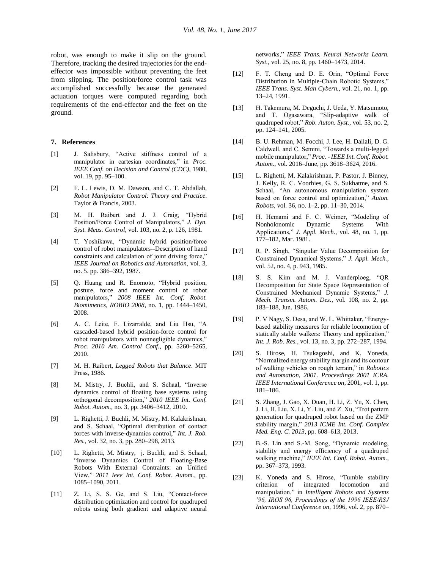robot, was enough to make it slip on the ground. Therefore, tracking the desired trajectories for the endeffector was impossible without preventing the feet from slipping. The position/force control task was accomplished successfully because the generated actuation torques were computed regarding both requirements of the end-effector and the feet on the ground.

#### **7. References**

- [1] J. Salisbury, "Active stiffness control of a manipulator in cartesian coordinates," in *Proc. IEEE Conf. on Decision and Control (CDC)*, 1980, vol. 19, pp. 95–100.
- [2] F. L. Lewis, D. M. Dawson, and C. T. Abdallah, *Robot Manipulator Control: Theory and Practice*. Taylor & Francis, 2003.
- [3] M. H. Raibert and J. J. Craig, "Hybrid Position/Force Control of Manipulators," *J. Dyn. Syst. Meas. Control*, vol. 103, no. 2, p. 126, 1981.
- [4] T. Yoshikawa, "Dynamic hybrid position/force control of robot manipulators--Description of hand constraints and calculation of joint driving force," *IEEE Journal on Robotics and Automation*, vol. 3, no. 5. pp. 386–392, 1987.
- [5] Q. Huang and R. Enomoto, "Hybrid position, posture, force and moment control of robot manipulators," *2008 IEEE Int. Conf. Robot. Biomimetics, ROBIO 2008*, no. 1, pp. 1444–1450, 2008.
- [6] A. C. Leite, F. Lizarralde, and Liu Hsu, "A cascaded-based hybrid position-force control for robot manipulators with nonnegligible dynamics," *Proc. 2010 Am. Control Conf.*, pp. 5260–5265, 2010.
- [7] M. H. Raibert, *Legged Robots that Balance*. MIT Press, 1986.
- [8] M. Mistry, J. Buchli, and S. Schaal, "Inverse dynamics control of floating base systems using orthogonal decomposition," *2010 IEEE Int. Conf. Robot. Autom.*, no. 3, pp. 3406–3412, 2010.
- [9] L. Righetti, J. Buchli, M. Mistry, M. Kalakrishnan, and S. Schaal, "Optimal distribution of contact forces with inverse-dynamics control," *Int. J. Rob. Res.*, vol. 32, no. 3, pp. 280–298, 2013.
- [10] L. Righetti, M. Mistry, j. Buchli, and S. Schaal, "Inverse Dynamics Control of Floating-Base Robots With External Contraints: an Unified View," *2011 Ieee Int. Conf. Robot. Autom.*, pp. 1085–1090, 2011.
- [11] Z. Li, S. S. Ge, and S. Liu, "Contact-force" distribution optimization and control for quadruped robots using both gradient and adaptive neural

networks," *IEEE Trans. Neural Networks Learn. Syst.*, vol. 25, no. 8, pp. 1460–1473, 2014.

- [12] F. T. Cheng and D. E. Orin, "Optimal Force Distribution in Multiple-Chain Robotic Systems," *IEEE Trans. Syst. Man Cybern.*, vol. 21, no. 1, pp. 13–24, 1991.
- [13] H. Takemura, M. Deguchi, J. Ueda, Y. Matsumoto, and T. Ogasawara, "Slip-adaptive walk of quadruped robot," *Rob. Auton. Syst.*, vol. 53, no. 2, pp. 124–141, 2005.
- [14] B. U. Rehman, M. Focchi, J. Lee, H. Dallali, D. G. Caldwell, and C. Semini, "Towards a multi-legged mobile manipulator," *Proc. - IEEE Int. Conf. Robot. Autom.*, vol. 2016–June, pp. 3618–3624, 2016.
- [15] L. Righetti, M. Kalakrishnan, P. Pastor, J. Binney, J. Kelly, R. C. Voorhies, G. S. Sukhatme, and S. Schaal, "An autonomous manipulation system based on force control and optimization," *Auton. Robots*, vol. 36, no. 1–2, pp. 11–30, 2014.
- [16] H. Hemami and F. C. Weimer, "Modeling of Nonholonomic Dynamic Systems With Applications," *J. Appl. Mech.*, vol. 48, no. 1, pp. 177–182, Mar. 1981.
- [17] R. P. Singh, "Singular Value Decomposition for Constrained Dynamical Systems," *J. Appl. Mech.*, vol. 52, no. 4, p. 943, 1985.
- [18] S. S. Kim and M. J. Vanderploeg, "QR Decomposition for State Space Representation of Constrained Mechanical Dynamic Systems," *J. Mech. Transm. Autom. Des.*, vol. 108, no. 2, pp. 183–188, Jun. 1986.
- [19] P. V Nagy, S. Desa, and W. L. Whittaker, "Energybased stability measures for reliable locomotion of statically stable walkers: Theory and application," *Int. J. Rob. Res.*, vol. 13, no. 3, pp. 272–287, 1994.
- [20] S. Hirose, H. Tsukagoshi, and K. Yoneda, "Normalized energy stability margin and its contour of walking vehicles on rough terrain," in *Robotics and Automation, 2001. Proceedings 2001 ICRA. IEEE International Conference on*, 2001, vol. 1, pp. 181–186.
- [21] S. Zhang, J. Gao, X. Duan, H. Li, Z. Yu, X. Chen, J. Li, H. Liu, X. Li, Y. Liu, and Z. Xu, "Trot pattern generation for quadruped robot based on the ZMP stability margin," *2013 ICME Int. Conf. Complex Med. Eng. C. 2013*, pp. 608–613, 2013.
- [22] B.-S. Lin and S.-M. Song, "Dynamic modeling, stability and energy efficiency of a quadruped walking machine," *IEEE Int. Conf. Robot. Autom.*, pp. 367–373, 1993.
- [23] K. Yoneda and S. Hirose, "Tumble stability criterion of integrated locomotion and manipulation," in *Intelligent Robots and Systems '96, IROS 96, Proceedings of the 1996 IEEE/RSJ International Conference on*, 1996, vol. 2, pp. 870–